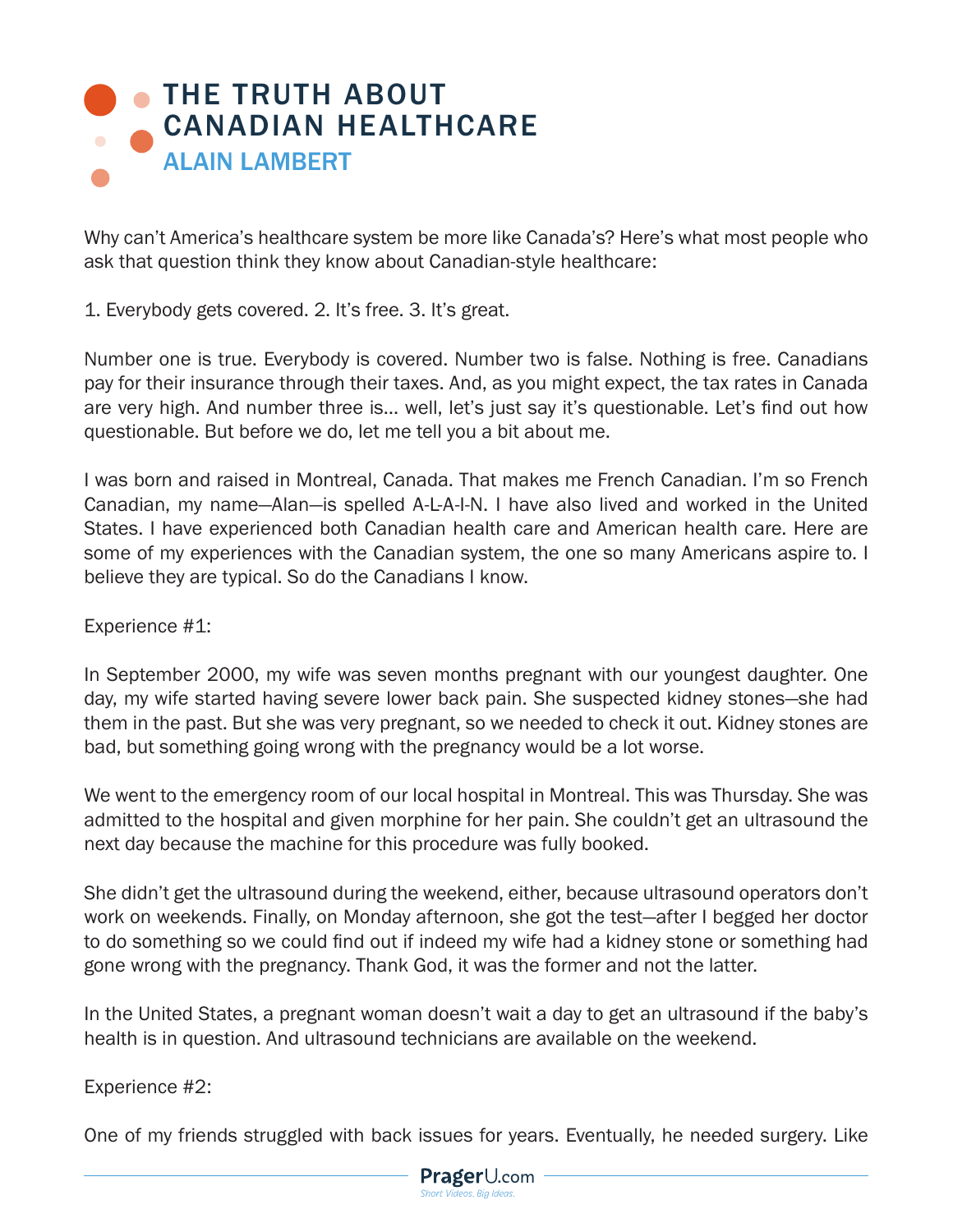## **THE TRUTH ABOUT** [CANADIAN HEALTHCARE](https://www.prageru.com/video/the-truth-about-canadian-healthcare/) ALAIN LAMBERT

Why can't America's healthcare system be more like Canada's? Here's what most people who ask that question think they know about Canadian-style healthcare:

1. Everybody gets covered. 2. It's free. 3. It's great.

Number one is true. Everybody is covered. Number two is false. Nothing is free. Canadians pay for their insurance through their taxes. And, as you might expect, the tax rates in Canada are very high. And number three is… well, let's just say it's questionable. Let's find out how questionable. But before we do, let me tell you a bit about me.

I was born and raised in Montreal, Canada. That makes me French Canadian. I'm so French Canadian, my name—Alan—is spelled A-L-A-I-N. I have also lived and worked in the United States. I have experienced both Canadian health care and American health care. Here are some of my experiences with the Canadian system, the one so many Americans aspire to. I believe they are typical. So do the Canadians I know.

Experience #1:

In September 2000, my wife was seven months pregnant with our youngest daughter. One day, my wife started having severe lower back pain. She suspected kidney stones—she had them in the past. But she was very pregnant, so we needed to check it out. Kidney stones are bad, but something going wrong with the pregnancy would be a lot worse.

We went to the emergency room of our local hospital in Montreal. This was Thursday. She was admitted to the hospital and given morphine for her pain. She couldn't get an ultrasound the next day because the machine for this procedure was fully booked.

She didn't get the ultrasound during the weekend, either, because ultrasound operators don't work on weekends. Finally, on Monday afternoon, she got the test—after I begged her doctor to do something so we could find out if indeed my wife had a kidney stone or something had gone wrong with the pregnancy. Thank God, it was the former and not the latter.

In the United States, a pregnant woman doesn't wait a day to get an ultrasound if the baby's health is in question. And ultrasound technicians are available on the weekend.

Experience #2:

One of my friends struggled with back issues for years. Eventually, he needed surgery. Like